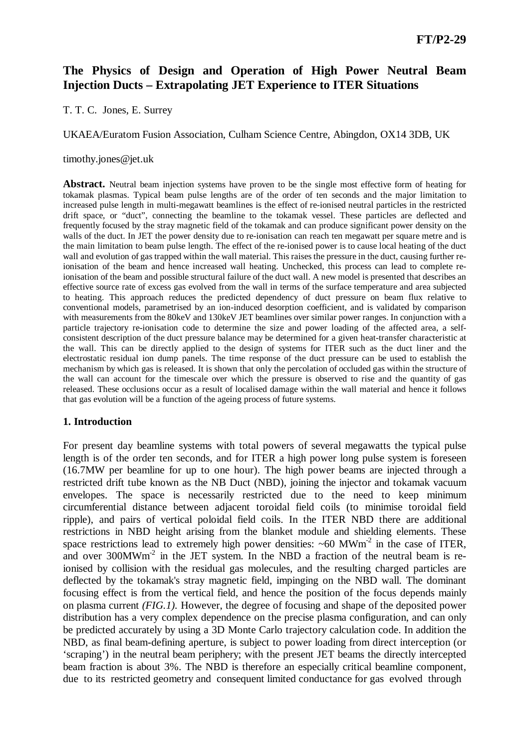# **The Physics of Design and Operation of High Power Neutral Beam Injection Ducts – Extrapolating JET Experience to ITER Situations**

T. T. C. Jones, E. Surrey

UKAEA/Euratom Fusion Association, Culham Science Centre, Abingdon, OX14 3DB, UK

timothy.jones@jet.uk

Abstract. Neutral beam injection systems have proven to be the single most effective form of heating for tokamak plasmas. Typical beam pulse lengths are of the order of ten seconds and the major limitation to increased pulse length in multi-megawatt beamlines is the effect of re-ionised neutral particles in the restricted drift space, or "duct", connecting the beamline to the tokamak vessel. These particles are deflected and frequently focused by the stray magnetic field of the tokamak and can produce significant power density on the walls of the duct. In JET the power density due to re-ionisation can reach ten megawatt per square metre and is the main limitation to beam pulse length. The effect of the re-ionised power is to cause local heating of the duct wall and evolution of gas trapped within the wall material. This raises the pressure in the duct, causing further reionisation of the beam and hence increased wall heating. Unchecked, this process can lead to complete reionisation of the beam and possible structural failure of the duct wall. A new model is presented that describes an effective source rate of excess gas evolved from the wall in terms of the surface temperature and area subjected to heating. This approach reduces the predicted dependency of duct pressure on beam flux relative to conventional models, parametrised by an ion-induced desorption coefficient, and is validated by comparison with measurements from the 80keV and 130keV JET beamlines over similar power ranges. In conjunction with a particle trajectory re-ionisation code to determine the size and power loading of the affected area, a selfconsistent description of the duct pressure balance may be determined for a given heat-transfer characteristic at the wall. This can be directly applied to the design of systems for ITER such as the duct liner and the electrostatic residual ion dump panels. The time response of the duct pressure can be used to establish the mechanism by which gas is released. It is shown that only the percolation of occluded gas within the structure of the wall can account for the timescale over which the pressure is observed to rise and the quantity of gas released. These occlusions occur as a result of localised damage within the wall material and hence it follows that gas evolution will be a function of the ageing process of future systems.

### **1. Introduction**

For present day beamline systems with total powers of several megawatts the typical pulse length is of the order ten seconds, and for ITER a high power long pulse system is foreseen (16.7MW per beamline for up to one hour). The high power beams are injected through a restricted drift tube known as the NB Duct (NBD), joining the injector and tokamak vacuum envelopes. The space is necessarily restricted due to the need to keep minimum circumferential distance between adjacent toroidal field coils (to minimise toroidal field ripple), and pairs of vertical poloidal field coils. In the ITER NBD there are additional restrictions in NBD height arising from the blanket module and shielding elements. These space restrictions lead to extremely high power densities:  $~60$  MWm<sup>-2</sup> in the case of ITER, and over  $300$ MWm<sup>-2</sup> in the JET system. In the NBD a fraction of the neutral beam is reionised by collision with the residual gas molecules, and the resulting charged particles are deflected by the tokamak's stray magnetic field, impinging on the NBD wall. The dominant focusing effect is from the vertical field, and hence the position of the focus depends mainly on plasma current *(FIG.1).* However, the degree of focusing and shape of the deposited power distribution has a very complex dependence on the precise plasma configuration, and can only be predicted accurately by using a 3D Monte Carlo trajectory calculation code. In addition the NBD, as final beam-defining aperture, is subject to power loading from direct interception (or 'scraping') in the neutral beam periphery; with the present JET beams the directly intercepted beam fraction is about 3%. The NBD is therefore an especially critical beamline component, due to its restricted geometry and consequent limited conductance for gas evolved through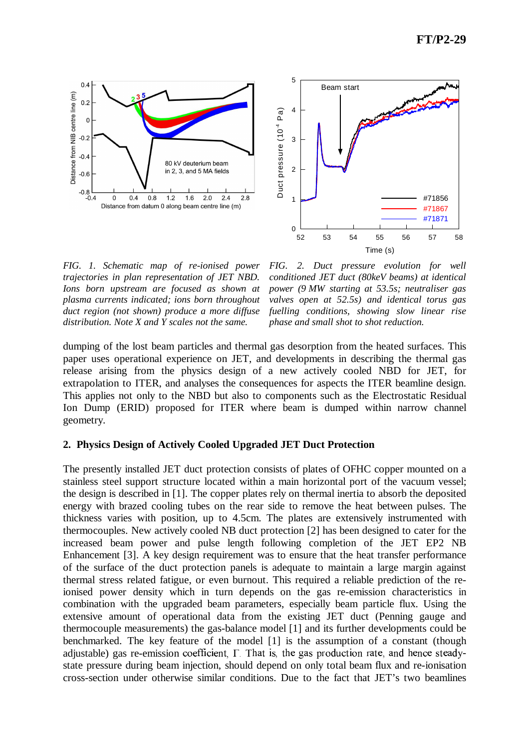



*FIG. 1. Schematic map of re-ionised power trajectories in plan representation of JET NBD. Ions born upstream are focused as shown at plasma currents indicated; ions born throughout duct region (not shown) produce a more diffuse distribution. Note X and Y scales not the same.*

*FIG. 2. Duct pressure evolution for well conditioned JET duct (80keV beams) at identical power (9 MW starting at 53.5s; neutraliser gas valves open at 52.5s) and identical torus gas fuelling conditions, showing slow linear rise phase and small shot to shot reduction.*

dumping of the lost beam particles and thermal gas desorption from the heated surfaces. This paper uses operational experience on JET, and developments in describing the thermal gas release arising from the physics design of a new actively cooled NBD for JET, for extrapolation to ITER, and analyses the consequences for aspects the ITER beamline design. This applies not only to the NBD but also to components such as the Electrostatic Residual Ion Dump (ERID) proposed for ITER where beam is dumped within narrow channel geometry.

## **2. Physics Design of Actively Cooled Upgraded JET Duct Protection**

The presently installed JET duct protection consists of plates of OFHC copper mounted on a stainless steel support structure located within a main horizontal port of the vacuum vessel; the design is described in [1]. The copper plates rely on thermal inertia to absorb the deposited energy with brazed cooling tubes on the rear side to remove the heat between pulses. The thickness varies with position, up to 4.5cm. The plates are extensively instrumented with thermocouples. New actively cooled NB duct protection [2] has been designed to cater for the increased beam power and pulse length following completion of the JET EP2 NB Enhancement [3]. A key design requirement was to ensure that the heat transfer performance of the surface of the duct protection panels is adequate to maintain a large margin against thermal stress related fatigue, or even burnout. This required a reliable prediction of the reionised power density which in turn depends on the gas re-emission characteristics in combination with the upgraded beam parameters, especially beam particle flux. Using the extensive amount of operational data from the existing JET duct (Penning gauge and thermocouple measurements) the gas-balance model [1] and its further developments could be benchmarked. The key feature of the model [1] is the assumption of a constant (though adjustable) gas re-emission coefficient,  $\Gamma$ . That is, the gas production rate, and hence steadystate pressure during beam injection, should depend on only total beam flux and re-ionisation cross-section under otherwise similar conditions. Due to the fact that JET's two beamlines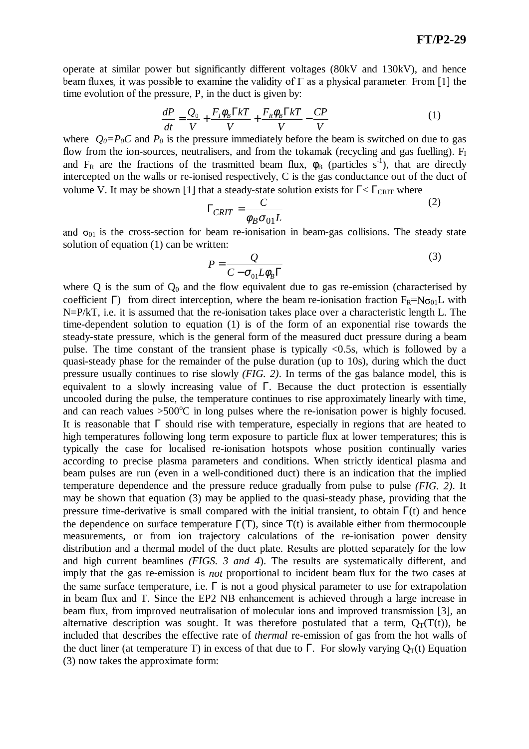operate at similar power but significantly different voltages (80kV and 130kV), and hence beam fluxes, it was possible to examine the validity of  $\Gamma$  as a physical parameter. From [1] the time evolution of the pressure, P, in the duct is given by:

$$
\frac{dP}{dt} = \frac{Q_0}{V} + \frac{F_t \phi_B \Gamma kT}{V} + \frac{F_R \phi_B \Gamma kT}{V} - \frac{CP}{V}
$$
(1)

where  $Q_0 = P_0 C$  and  $P_0$  is the pressure immediately before the beam is switched on due to gas flow from the ion-sources, neutralisers, and from the tokamak (recycling and gas fuelling).  $F<sub>I</sub>$ and  $F_R$  are the fractions of the trasmitted beam flux,  $\phi_B$  (particles s<sup>-1</sup>), that are directly intercepted on the walls or re-ionised respectively, C is the gas conductance out of the duct of volume V. It may be shown [1] that a steady-state solution exists for  $\Gamma < \Gamma_{\text{CRIT}}$  where

$$
\Gamma_{CRIT} = \frac{C}{\phi_B \sigma_{01} L} \tag{2}
$$

and  $\sigma_{01}$  is the cross-section for beam re-ionisation in beam-gas collisions. The steady state solution of equation (1) can be written:

$$
P = \frac{Q}{C - \sigma_{01} L \phi_B \Gamma} \tag{3}
$$

where  $Q$  is the sum of  $Q_0$  and the flow equivalent due to gas re-emission (characterised by coefficient Γ) from direct interception, where the beam re-ionisation fraction  $F_R = N\sigma_{01}L$  with N=P/kT, i.e. it is assumed that the re-ionisation takes place over a characteristic length L. The time-dependent solution to equation (1) is of the form of an exponential rise towards the steady-state pressure, which is the general form of the measured duct pressure during a beam pulse. The time constant of the transient phase is typically <0.5s, which is followed by a quasi-steady phase for the remainder of the pulse duration (up to 10s), during which the duct pressure usually continues to rise slowly *(FIG. 2)*. In terms of the gas balance model, this is equivalent to a slowly increasing value of Γ. Because the duct protection is essentially uncooled during the pulse, the temperature continues to rise approximately linearly with time, and can reach values  $>500^{\circ}$ C in long pulses where the re-ionisation power is highly focused. It is reasonable that  $\Gamma$  should rise with temperature, especially in regions that are heated to high temperatures following long term exposure to particle flux at lower temperatures; this is typically the case for localised re-ionisation hotspots whose position continually varies according to precise plasma parameters and conditions. When strictly identical plasma and beam pulses are run (even in a well-conditioned duct) there is an indication that the implied temperature dependence and the pressure reduce gradually from pulse to pulse *(FIG. 2)*. It may be shown that equation (3) may be applied to the quasi-steady phase, providing that the pressure time-derivative is small compared with the initial transient, to obtain  $\Gamma(t)$  and hence the dependence on surface temperature  $\Gamma(T)$ , since  $T(t)$  is available either from thermocouple measurements, or from ion trajectory calculations of the re-ionisation power density distribution and a thermal model of the duct plate. Results are plotted separately for the low and high current beamlines *(FIGS. 3 and 4*). The results are systematically different, and imply that the gas re-emission is *not* proportional to incident beam flux for the two cases at the same surface temperature, i.e.  $\Gamma$  is not a good physical parameter to use for extrapolation in beam flux and T. Since the EP2 NB enhancement is achieved through a large increase in beam flux, from improved neutralisation of molecular ions and improved transmission [3], an alternative description was sought. It was therefore postulated that a term,  $Q_T(T(t))$ , be included that describes the effective rate of *thermal* re-emission of gas from the hot walls of the duct liner (at temperature T) in excess of that due to  $\Gamma$ . For slowly varying  $O_T(t)$  Equation (3) now takes the approximate form: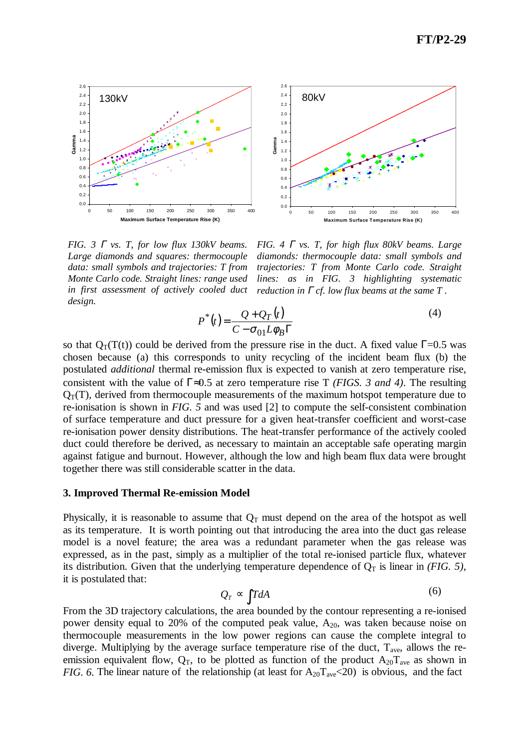

*FIG. 3* <sup>Γ</sup> *vs. T, for low flux 130kV beams. Large diamonds and squares: thermocouple data: small symbols and trajectories: T from Monte Carlo code. Straight lines: range used in first assessment of actively cooled duct design.*

*FIG. 4* <sup>Γ</sup> *vs. T, for high flux 80kV beams. Large diamonds: thermocouple data: small symbols and trajectories: T from Monte Carlo code. Straight lines: as in FIG. 3 highlighting systematic reduction in* <sup>Γ</sup> *cf. low flux beams at the same T .*

$$
P^*(t) = \frac{Q + Q_T(t)}{C - \sigma_{01} L \phi_B \Gamma}
$$
\n(4)

so that  $Q_T(T(t))$  could be derived from the pressure rise in the duct. A fixed value  $\Gamma$ =0.5 was chosen because (a) this corresponds to unity recycling of the incident beam flux (b) the postulated *additional* thermal re-emission flux is expected to vanish at zero temperature rise, consistent with the value of Γ≈0.5 at zero temperature rise T *(FIGS. 3 and 4)*. The resulting  $Q_T(T)$ , derived from thermocouple measurements of the maximum hotspot temperature due to re-ionisation is shown in *FIG. 5* and was used [2] to compute the self-consistent combination of surface temperature and duct pressure for a given heat-transfer coefficient and worst-case re-ionisation power density distributions. The heat-transfer performance of the actively cooled duct could therefore be derived, as necessary to maintain an acceptable safe operating margin against fatigue and burnout. However, although the low and high beam flux data were brought together there was still considerable scatter in the data.

#### **3. Improved Thermal Re-emission Model**

Physically, it is reasonable to assume that  $Q_T$  must depend on the area of the hotspot as well as its temperature. It is worth pointing out that introducing the area into the duct gas release model is a novel feature; the area was a redundant parameter when the gas release was expressed, as in the past, simply as a multiplier of the total re-ionised particle flux, whatever its distribution. Given that the underlying temperature dependence of  $Q_T$  is linear in *(FIG. 5)*, it is postulated that:

$$
Q_T \sim \int T dA \tag{6}
$$

From the 3D trajectory calculations, the area bounded by the contour representing a re-ionised power density equal to 20% of the computed peak value,  $A_{20}$ , was taken because noise on thermocouple measurements in the low power regions can cause the complete integral to diverge. Multiplying by the average surface temperature rise of the duct,  $T_{ave}$ , allows the reemission equivalent flow,  $Q_T$ , to be plotted as function of the product  $A_{20}T_{ave}$  as shown in *FIG. 6.* The linear nature of the relationship (at least for  $A_{20}T_{ave}$  <20) is obvious, and the fact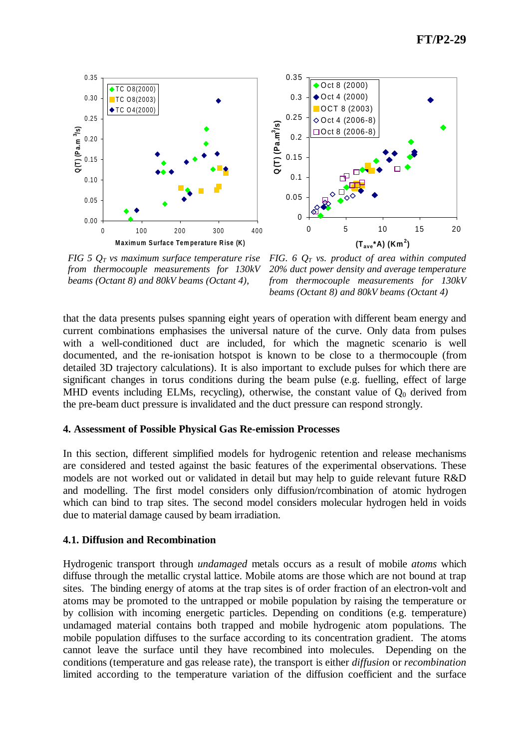



*FIG 5 Q<sup>T</sup> vs maximum surface temperature rise from thermocouple measurements for 130kV beams (Octant 8) and 80kV beams (Octant 4),*

*FIG. 6 Q<sup>T</sup> vs. product of area within computed 20% duct power density and average temperature from thermocouple measurements for 130kV beams (Octant 8) and 80kV beams (Octant 4)*

that the data presents pulses spanning eight years of operation with different beam energy and current combinations emphasises the universal nature of the curve. Only data from pulses with a well-conditioned duct are included, for which the magnetic scenario is well documented, and the re-ionisation hotspot is known to be close to a thermocouple (from detailed 3D trajectory calculations). It is also important to exclude pulses for which there are significant changes in torus conditions during the beam pulse (e.g. fuelling, effect of large MHD events including ELMs, recycling), otherwise, the constant value of  $Q_0$  derived from the pre-beam duct pressure is invalidated and the duct pressure can respond strongly.

### **4. Assessment of Possible Physical Gas Re-emission Processes**

In this section, different simplified models for hydrogenic retention and release mechanisms are considered and tested against the basic features of the experimental observations. These models are not worked out or validated in detail but may help to guide relevant future R&D and modelling. The first model considers only diffusion/rcombination of atomic hydrogen which can bind to trap sites. The second model considers molecular hydrogen held in voids due to material damage caused by beam irradiation.

### **4.1. Diffusion and Recombination**

Hydrogenic transport through *undamaged* metals occurs as a result of mobile *atoms* which diffuse through the metallic crystal lattice. Mobile atoms are those which are not bound at trap sites. The binding energy of atoms at the trap sites is of order fraction of an electron-volt and atoms may be promoted to the untrapped or mobile population by raising the temperature or by collision with incoming energetic particles. Depending on conditions (e.g. temperature) undamaged material contains both trapped and mobile hydrogenic atom populations. The mobile population diffuses to the surface according to its concentration gradient. The atoms cannot leave the surface until they have recombined into molecules. Depending on the conditions (temperature and gas release rate), the transport is either *diffusion* or *recombination*  limited according to the temperature variation of the diffusion coefficient and the surface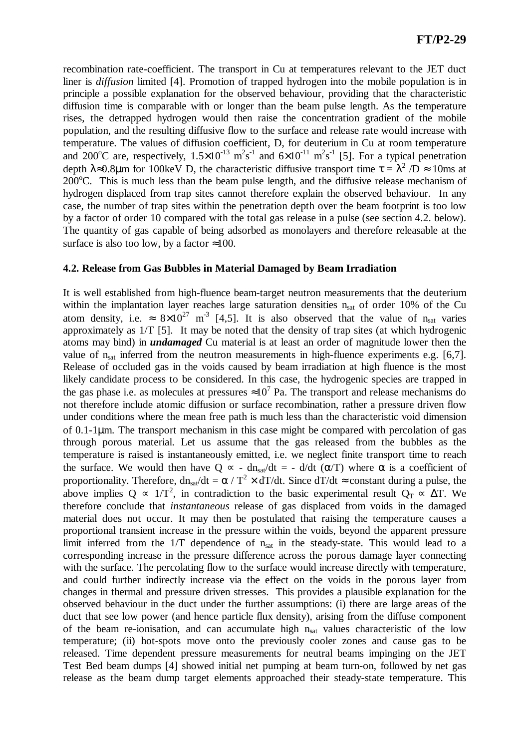recombination rate-coefficient. The transport in Cu at temperatures relevant to the JET duct liner is *diffusion* limited [4]. Promotion of trapped hydrogen into the mobile population is in principle a possible explanation for the observed behaviour, providing that the characteristic diffusion time is comparable with or longer than the beam pulse length. As the temperature rises, the detrapped hydrogen would then raise the concentration gradient of the mobile population, and the resulting diffusive flow to the surface and release rate would increase with temperature. The values of diffusion coefficient, D, for deuterium in Cu at room temperature and 200<sup>o</sup>C are, respectively,  $1.5 \times 10^{-13}$  m<sup>2</sup>s<sup>-1</sup> and  $6 \times 10^{-11}$  m<sup>2</sup>s<sup>-1</sup> [5]. For a typical penetration depth  $\lambda \approx 0.8 \mu$ m for 100keV D, the characteristic diffusive transport time  $\tau = \lambda^2 / D \approx 10$ ms at  $200^{\circ}$ C. This is much less than the beam pulse length, and the diffusive release mechanism of hydrogen displaced from trap sites cannot therefore explain the observed behaviour. In any case, the number of trap sites within the penetration depth over the beam footprint is too low by a factor of order 10 compared with the total gas release in a pulse (see section 4.2. below). The quantity of gas capable of being adsorbed as monolayers and therefore releasable at the surface is also too low, by a factor  $\approx 100$ .

### **4.2. Release from Gas Bubbles in Material Damaged by Beam Irradiation**

It is well established from high-fluence beam-target neutron measurements that the deuterium within the implantation layer reaches large saturation densities  $n<sub>sat</sub>$  of order 10% of the Cu atom density, i.e.  $\approx 8 \times 10^{27}$  m<sup>-3</sup> [4,5]. It is also observed that the value of n<sub>sat</sub> varies approximately as 1/T [5]. It may be noted that the density of trap sites (at which hydrogenic atoms may bind) in *undamaged* Cu material is at least an order of magnitude lower then the value of  $n_{sat}$  inferred from the neutron measurements in high-fluence experiments e.g. [6,7]. Release of occluded gas in the voids caused by beam irradiation at high fluence is the most likely candidate process to be considered. In this case, the hydrogenic species are trapped in the gas phase i.e. as molecules at pressures  $\approx 10^7$  Pa. The transport and release mechanisms do not therefore include atomic diffusion or surface recombination, rather a pressure driven flow under conditions where the mean free path is much less than the characteristic void dimension of 0.1-1µm. The transport mechanism in this case might be compared with percolation of gas through porous material. Let us assume that the gas released from the bubbles as the temperature is raised is instantaneously emitted, i.e. we neglect finite transport time to reach the surface. We would then have Q  $\propto$  - dn<sub>sat</sub>/dt = - d/dt ( $\alpha/T$ ) where  $\alpha$  is a coefficient of proportionality. Therefore,  $dn_{sat}/dt = \alpha / T^2 \times dT/dt$ . Since  $dT/dt \approx$  constant during a pulse, the above implies Q  $\sim 1/T^2$ , in contradiction to the basic experimental result Q<sub>T</sub>  $\sim \Delta T$ . We therefore conclude that *instantaneous* release of gas displaced from voids in the damaged material does not occur. It may then be postulated that raising the temperature causes a proportional transient increase in the pressure within the voids, beyond the apparent pressure limit inferred from the  $1/T$  dependence of  $n<sub>sat</sub>$  in the steady-state. This would lead to a corresponding increase in the pressure difference across the porous damage layer connecting with the surface. The percolating flow to the surface would increase directly with temperature, and could further indirectly increase via the effect on the voids in the porous layer from changes in thermal and pressure driven stresses. This provides a plausible explanation for the observed behaviour in the duct under the further assumptions: (i) there are large areas of the duct that see low power (and hence particle flux density), arising from the diffuse component of the beam re-ionisation, and can accumulate high  $n<sub>sat</sub>$  values characteristic of the low temperature; (ii) hot-spots move onto the previously cooler zones and cause gas to be released. Time dependent pressure measurements for neutral beams impinging on the JET Test Bed beam dumps [4] showed initial net pumping at beam turn-on, followed by net gas release as the beam dump target elements approached their steady-state temperature. This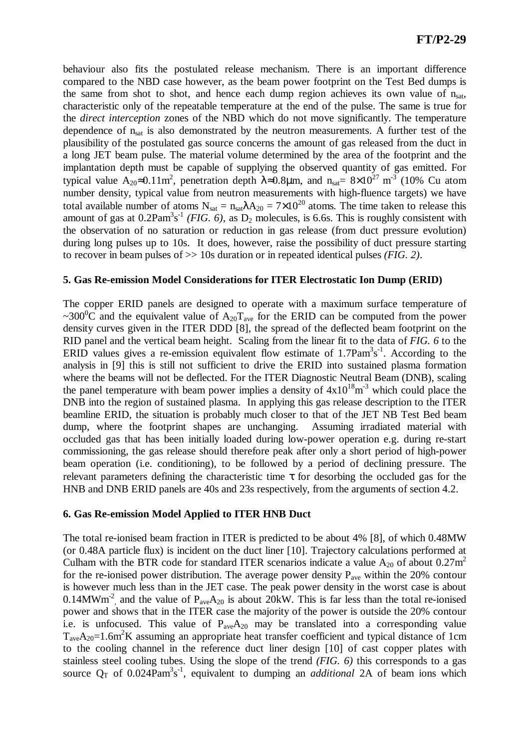behaviour also fits the postulated release mechanism. There is an important difference compared to the NBD case however, as the beam power footprint on the Test Bed dumps is the same from shot to shot, and hence each dump region achieves its own value of  $n_{sat}$ , characteristic only of the repeatable temperature at the end of the pulse. The same is true for the *direct interception* zones of the NBD which do not move significantly. The temperature dependence of n<sub>sat</sub> is also demonstrated by the neutron measurements. A further test of the plausibility of the postulated gas source concerns the amount of gas released from the duct in a long JET beam pulse. The material volume determined by the area of the footprint and the implantation depth must be capable of supplying the observed quantity of gas emitted. For typical value  $A_{20} \approx 0.11 \text{m}^2$ , penetration depth  $\lambda \approx 0.8 \mu \text{m}$ , and  $n_{\text{sat}} = 8 \times 10^{27} \text{ m}^{-3}$  (10% Cu atom number density, typical value from neutron measurements with high-fluence targets) we have total available number of atoms  $N_{\text{sat}} = n_{\text{sat}} \lambda A_{20} = 7 \times 10^{20}$  atoms. The time taken to release this amount of gas at  $0.2$ Pam<sup>3</sup>s<sup>-1</sup> (*FIG. 6*), as  $D_2$  molecules, is 6.6s. This is roughly consistent with the observation of no saturation or reduction in gas release (from duct pressure evolution) during long pulses up to 10s. It does, however, raise the possibility of duct pressure starting to recover in beam pulses of >> 10s duration or in repeated identical pulses *(FIG. 2)*.

### **5. Gas Re-emission Model Considerations for ITER Electrostatic Ion Dump (ERID)**

The copper ERID panels are designed to operate with a maximum surface temperature of ~300<sup>o</sup>C and the equivalent value of  $A_{20}T_{ave}$  for the ERID can be computed from the power density curves given in the ITER DDD [8], the spread of the deflected beam footprint on the RID panel and the vertical beam height. Scaling from the linear fit to the data of *FIG. 6* to the ERID values gives a re-emission equivalent flow estimate of  $1.7$ Pam $3s^{-1}$ . According to the analysis in [9] this is still not sufficient to drive the ERID into sustained plasma formation where the beams will not be deflected. For the ITER Diagnostic Neutral Beam (DNB), scaling the panel temperature with beam power implies a density of  $4x10^{18}m^{-3}$  which could place the DNB into the region of sustained plasma. In applying this gas release description to the ITER beamline ERID, the situation is probably much closer to that of the JET NB Test Bed beam dump, where the footprint shapes are unchanging. Assuming irradiated material with occluded gas that has been initially loaded during low-power operation e.g. during re-start commissioning, the gas release should therefore peak after only a short period of high-power beam operation (i.e. conditioning), to be followed by a period of declining pressure. The relevant parameters defining the characteristic time  $\tau$  for desorbing the occluded gas for the HNB and DNB ERID panels are 40s and 23s respectively, from the arguments of section 4.2.

### **6. Gas Re-emission Model Applied to ITER HNB Duct**

The total re-ionised beam fraction in ITER is predicted to be about 4% [8], of which 0.48MW (or 0.48A particle flux) is incident on the duct liner [10]. Trajectory calculations performed at Culham with the BTR code for standard ITER scenarios indicate a value  $A_{20}$  of about 0.27m<sup>2</sup> for the re-ionised power distribution. The average power density  $P_{ave}$  within the 20% contour is however much less than in the JET case. The peak power density in the worst case is about 0.14MWm<sup>-2</sup>, and the value of  $P_{ave}A_{20}$  is about 20kW. This is far less than the total re-ionised power and shows that in the ITER case the majority of the power is outside the 20% contour i.e. is unfocused. This value of  $P_{ave}A_{20}$  may be translated into a corresponding value  $T_{\text{ave}}A_{20}=1.6\text{m}^2\text{K}$  assuming an appropriate heat transfer coefficient and typical distance of 1cm to the cooling channel in the reference duct liner design [10] of cast copper plates with stainless steel cooling tubes. Using the slope of the trend *(FIG. 6)* this corresponds to a gas source  $Q_T$  of 0.024Pam<sup>3</sup>s<sup>-1</sup>, equivalent to dumping an *additional* 2A of beam ions which